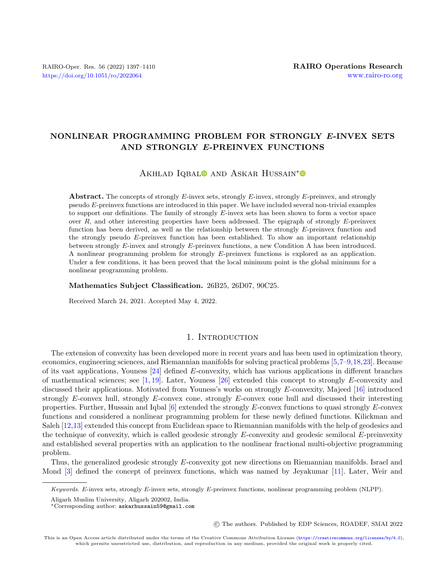# NONLINEAR PROGRAMMING PROBLEM FOR STRONGLY E-INVEX SETS AND STRONGLY E-PREINVEX FUNCTIONS

# AKHLAD IQBAL<sup>O</sup> AND ASKAR HUSSAIN<sup>[\\*](https://orcid.org/0000-0001-6488-590X)</sup>

**Abstract.** The concepts of strongly  $E$ -invex sets, strongly  $E$ -invex, strongly  $E$ -preinvex, and strongly pseudo  $E$ -preinvex functions are introduced in this paper. We have included several non-trivial examples to support our definitions. The family of strongly  $E$ -invex sets has been shown to form a vector space over  $R$ , and other interesting properties have been addressed. The epigraph of strongly  $E$ -preinvex function has been derived, as well as the relationship between the strongly  $E$ -preinvex function and the strongly pseudo  $E$ -preinvex function has been established. To show an important relationship between strongly  $E$ -invex and strongly  $E$ -preinvex functions, a new Condition A has been introduced. A nonlinear programming problem for strongly  $E$ -preinvex functions is explored as an application. Under a few conditions, it has been proved that the local minimum point is the global minimum for a nonlinear programming problem.

#### Mathematics Subject Classification. 26B25, 26D07, 90C25.

Received March 24, 2021. Accepted May 4, 2022.

# 1. INTRODUCTION

The extension of convexity has been developed more in recent years and has been used in optimization theory, economics, engineering sciences, and Riemannian manifolds for solving practical problems [\[5,](#page-12-0)[7–](#page-12-1)[9,](#page-12-2)[18,](#page-13-0)[23\]](#page-13-1). Because of its vast applications, Youness  $[24]$  defined E-convexity, which has various applications in different branches of mathematical sciences; see  $[1, 19]$  $[1, 19]$  $[1, 19]$ . Later, Youness  $[26]$  extended this concept to strongly E-convexity and discussed their applications. Motivated from Youness's works on strongly  $E$ -convexity, Majeed [\[16\]](#page-12-4) introduced strongly  $E$ -convex hull, strongly  $E$ -convex cone, strongly  $E$ -convex cone hull and discussed their interesting properties. Further, Hussain and Iqbal  $[6]$  extended the strongly E-convex functions to quasi strongly E-convex functions and considered a nonlinear programming problem for these newly defined functions. Kilickman and Saleh [\[12,](#page-12-6)[13\]](#page-12-7) extended this concept from Euclidean space to Riemannian manifolds with the help of geodesics and the technique of convexity, which is called geodesic strongly  $E$ -convexity and geodesic semilocal  $E$ -preinvexity and established several properties with an application to the nonlinear fractional multi-objective programming problem.

Thus, the generalized geodesic strongly  $E$ -convexity got new directions on Riemannian manifolds. Israel and Mond [\[3\]](#page-12-8) defined the concept of preinvex functions, which was named by Jeyakumar [\[11\]](#page-12-9). Later, Weir and

Aligarh Muslim University, Aligarh 202002, India.

○c The authors. Published by EDP Sciences, ROADEF, SMAI 2022

 $Keywords.$  E-invex sets, strongly E-invex sets, strongly E-preinvex functions, nonlinear programming problem (NLPP).

<sup>\*</sup>Corresponding author: [askarhussain59@gmail.com](mailto:askarhussain59@gmail.com)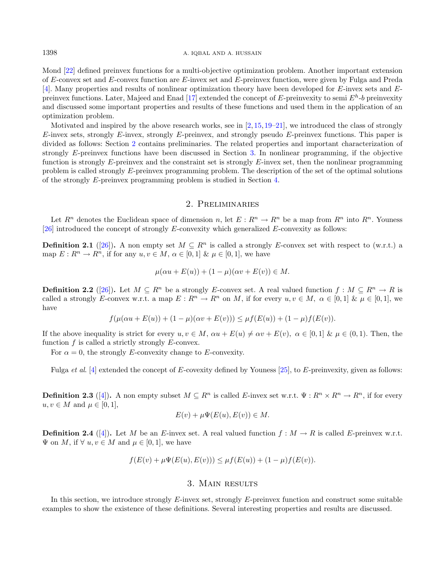Mond [\[22\]](#page-13-5) defined preinvex functions for a multi-objective optimization problem. Another important extension of  $E$ -convex set and  $E$ -convex function are  $E$ -invex set and  $E$ -preinvex function, were given by Fulga and Preda  $[4]$ . Many properties and results of nonlinear optimization theory have been developed for E-invex sets and E-preinvex functions. Later, Majeed and Enad [\[17\]](#page-13-6) extended the concept of E-preinvexity to semi  $E^h$ -b preinvexity and discussed some important properties and results of these functions and used them in the application of an optimization problem.

Motivated and inspired by the above research works, see in  $[2,15,19-21]$  $[2,15,19-21]$  $[2,15,19-21]$  $[2,15,19-21]$ , we introduced the class of strongly  $E$ -invex sets, strongly  $E$ -invex, strongly  $E$ -preinvex, and strongly pseudo  $E$ -preinvex functions. This paper is divided as follows: Section [2](#page-1-0) contains preliminaries. The related properties and important characterization of strongly  $E$ -preinvex functions have been discussed in Section [3.](#page-1-1) In nonlinear programming, if the objective function is strongly  $E$ -preinvex and the constraint set is strongly  $E$ -invex set, then the nonlinear programming problem is called strongly  $E$ -preinvex programming problem. The description of the set of the optimal solutions of the strongly  $E$ -preinvex programming problem is studied in Section [4.](#page-10-0)

### <span id="page-1-2"></span>2. Preliminaries

<span id="page-1-0"></span>Let  $R^n$  denotes the Euclidean space of dimension n, let  $E: R^n \to R^n$  be a map from  $R^n$  into  $R^n$ . Youness  $[26]$  introduced the concept of strongly E-convexity which generalized E-convexity as follows:

**Definition 2.1** ([\[26\]](#page-13-4)). A non empty set  $M \subseteq R^n$  is called a strongly E-convex set with respect to (w.r.t.) a map  $E: \mathbb{R}^n \to \mathbb{R}^n$ , if for any  $u, v \in M$ ,  $\alpha \in [0, 1]$  &  $\mu \in [0, 1]$ , we have

$$
\mu(\alpha u + E(u)) + (1 - \mu)(\alpha v + E(v)) \in M.
$$

<span id="page-1-4"></span><span id="page-1-3"></span>**Definition 2.2** ([\[26\]](#page-13-4)). Let  $M \subseteq R^n$  be a strongly E-convex set. A real valued function  $f : M \subseteq R^n \to R$  is called a strongly E-convex w.r.t. a map  $E: \mathbb{R}^n \to \mathbb{R}^n$  on M, if for every  $u, v \in M$ ,  $\alpha \in [0, 1]$  &  $\mu \in [0, 1]$ , we have

$$
f(\mu(\alpha u + E(u)) + (1 - \mu)(\alpha v + E(v))) \leq \mu f(E(u)) + (1 - \mu)f(E(v)).
$$

If the above inequality is strict for every  $u, v \in M$ ,  $\alpha u + E(u) \neq \alpha v + E(v)$ ,  $\alpha \in [0, 1]$  &  $\mu \in (0, 1)$ . Then, the function  $f$  is called a strictly strongly  $E$ -convex.

For  $\alpha = 0$ , the strongly E-convexity change to E-convexity.

Fulga *et al.* [\[4\]](#page-12-10) extended the concept of E-covexity defined by Youness [\[25\]](#page-13-8), to E-preinvexity, given as follows:

**Definition 2.3** ([\[4\]](#page-12-10)). A non empty subset  $M \subseteq R^n$  is called E-invex set w.r.t.  $\Psi : R^n \times R^n \to R^n$ , if for every  $u, v \in M$  and  $\mu \in [0, 1]$ ,

$$
E(v) + \mu \Psi(E(u), E(v)) \in M.
$$

<span id="page-1-5"></span>**Definition 2.4** ([\[4\]](#page-12-10)). Let M be an E-invex set. A real valued function  $f : M \to R$  is called E-preinvex w.r.t.  $\Psi$  on M, if  $\forall u, v \in M$  and  $\mu \in [0, 1]$ , we have

$$
f(E(v) + \mu \Psi(E(u), E(v))) \leq \mu f(E(u)) + (1 - \mu)f(E(v)).
$$

### 3. Main results

<span id="page-1-1"></span>In this section, we introduce strongly  $E$ -invex set, strongly  $E$ -preinvex function and construct some suitable examples to show the existence of these definitions. Several interesting properties and results are discussed.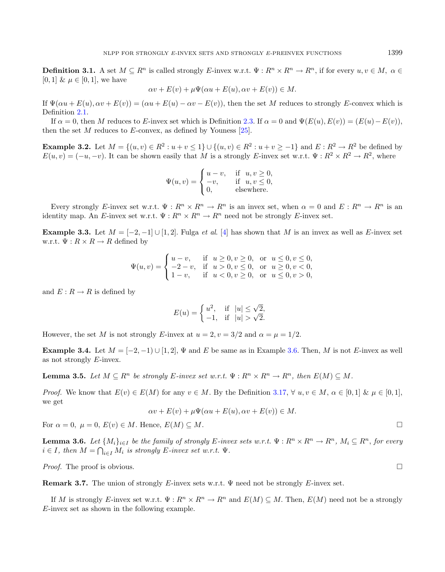**Definition 3.1.** A set  $M \subseteq R^n$  is called strongly E-invex w.r.t.  $\Psi : R^n \times R^n \to R^n$ , if for every  $u, v \in M$ ,  $\alpha \in$ [0, 1] &  $\mu \in [0, 1]$ , we have

$$
\alpha v + E(v) + \mu \Psi(\alpha u + E(u), \alpha v + E(v)) \in M.
$$

If  $\Psi(\alpha u + E(u), \alpha v + E(v)) = (\alpha u + E(u) - \alpha v - E(v))$ , then the set M reduces to strongly E-convex which is Definition [2.1.](#page-1-2)

If  $\alpha = 0$ , then M reduces to E-invex set which is Definition [2.3.](#page-1-3) If  $\alpha = 0$  and  $\Psi(E(u), E(v)) = (E(u) - E(v))$ , then the set  $M$  reduces to  $E$ -convex, as defined by Youness [\[25\]](#page-13-8).

**Example 3.2.** Let  $M = \{(u, v) \in R^2 : u + v \le 1\} \cup \{(u, v) \in R^2 : u + v \ge -1\}$  and  $E: R^2 \to R^2$  be defined by  $E(u, v) = (-u, -v)$ . It can be shown easily that M is a strongly E-invex set w.r.t.  $\Psi : R^2 \times R^2 \to R^2$ , where

$$
\Psi(u,v) = \begin{cases} u-v, & \text{if } u,v \ge 0, \\ -v, & \text{if } u,v \le 0, \\ 0, & \text{elsewhere.} \end{cases}
$$

Every strongly E-invex set w.r.t.  $\Psi: R^n \times R^n \to R^n$  is an invex set, when  $\alpha = 0$  and  $E: R^n \to R^n$  is an identity map. An E-invex set w.r.t.  $\Psi: R^n \times R^n \to R^n$  need not be strongly E-invex set.

**Example 3.3.** Let  $M = [-2, -1] \cup [1, 2]$ . Fulga *et al.* [\[4\]](#page-12-10) has shown that M is an invex as well as E-invex set w.r.t.  $\Psi: R \times R \to R$  defined by

$$
\Psi(u,v) = \begin{cases} u-v, & \text{if } u \ge 0, v \ge 0, \text{ or } u \le 0, v \le 0, \\ -2-v, & \text{if } u > 0, v \le 0, \text{ or } u \ge 0, v < 0, \\ 1-v, & \text{if } u < 0, v \ge 0, \text{ or } u \le 0, v > 0, \end{cases}
$$

and  $E: R \to R$  is defined by

$$
E(u) = \begin{cases} u^2, & \text{if } |u| \le \sqrt{2}, \\ -1, & \text{if } |u| > \sqrt{2}. \end{cases}
$$

However, the set M is not strongly E-invex at  $u = 2, v = 3/2$  and  $\alpha = \mu = 1/2$ .

Example 3.4. Let  $M = [-2, -1) \cup [1, 2], \Psi$  and E be same as in Example [3.6.](#page-2-0) Then, M is not E-invex as well as not strongly  $E$ -invex.

<span id="page-2-1"></span>**Lemma 3.5.** Let  $M \subseteq R^n$  be strongly E-invex set w.r.t.  $\Psi : R^n \times R^n \to R^n$ , then  $E(M) \subseteq M$ .

*Proof.* We know that  $E(v) \in E(M)$  for any  $v \in M$ . By the Definition [3.17,](#page-5-0)  $\forall u, v \in M$ ,  $\alpha \in [0, 1]$  &  $\mu \in [0, 1]$ , we get

$$
\alpha v + E(v) + \mu \Psi(\alpha u + E(u), \alpha v + E(v)) \in M.
$$

For  $\alpha = 0$ ,  $\mu = 0$ ,  $E(v) \in M$ . Hence,  $E(M) \subset M$ .

<span id="page-2-0"></span>**Lemma 3.6.** Let  $\{M_i\}_{i\in I}$  be the family of strongly E-invex sets w.r.t.  $\Psi: R^n \times R^n \to R^n$ ,  $M_i \subseteq R^n$ , for every  $i \in I$ , then  $M = \bigcap_{i \in I} M_i$  is strongly E-invex set w.r.t.  $\Psi$ .

*Proof.* The proof is obvious.  $\square$ 

**Remark 3.7.** The union of strongly E-invex sets w.r.t.  $\Psi$  need not be strongly E-invex set.

If M is strongly E-invex set w.r.t.  $\Psi: R^n \times R^n \to R^n$  and  $E(M) \subseteq M$ . Then,  $E(M)$  need not be a strongly E-invex set as shown in the following example.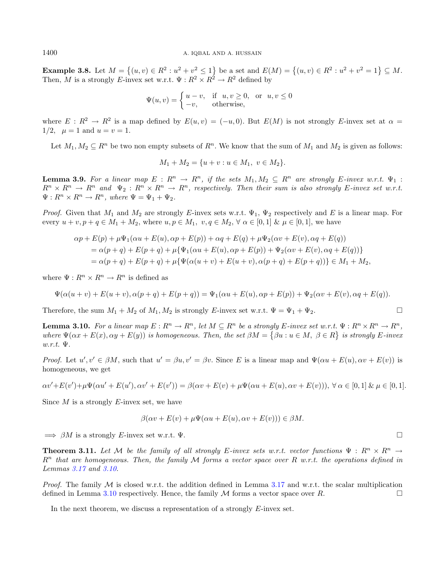**Example 3.8.** Let  $M = \{(u, v) \in R^2 : u^2 + v^2 \le 1\}$  be a set and  $E(M) = \{(u, v) \in R^2 : u^2 + v^2 = 1\} \subseteq M$ . Then, M is a strongly E-invex set w.r.t.  $\Psi: R^2 \times R^2 \to R^2$  defined by

$$
\Psi(u,v) = \begin{cases} u-v, & \text{if } u, v \ge 0, \text{ or } u, v \le 0\\ -v, & \text{otherwise,} \end{cases}
$$

where  $E: R^2 \to R^2$  is a map defined by  $E(u, v) = (-u, 0)$ . But  $E(M)$  is not strongly E-invex set at  $\alpha =$  $1/2$ ,  $\mu = 1$  and  $u = v = 1$ .

Let  $M_1, M_2 \subseteq R^n$  be two non empty subsets of  $R^n$ . We know that the sum of  $M_1$  and  $M_2$  is given as follows:

$$
M_1 + M_2 = \{u + v : u \in M_1, v \in M_2\}.
$$

**Lemma 3.9.** For a linear map  $E: R^n \to R^n$ , if the sets  $M_1, M_2 \subseteq R^n$  are strongly E-invex w.r.t.  $\Psi_1$ :  $R^n \times R^n \to R^n$  and  $\Psi_2 : R^n \times R^n \to R^n$ , respectively. Then their sum is also strongly E-invex set w.r.t.  $\Psi: R^n \times R^n \to R^n$ , where  $\Psi = \Psi_1 + \Psi_2$ .

*Proof.* Given that  $M_1$  and  $M_2$  are strongly E-invex sets w.r.t.  $\Psi_1$ ,  $\Psi_2$  respectively and E is a linear map. For every  $u + v, p + q \in M_1 + M_2$ , where  $u, p \in M_1$ ,  $v, q \in M_2$ ,  $\forall \alpha \in [0, 1]$  &  $\mu \in [0, 1]$ , we have

$$
\alpha p + E(p) + \mu \Psi_1(\alpha u + E(u), \alpha p + E(p)) + \alpha q + E(q) + \mu \Psi_2(\alpha v + E(v), \alpha q + E(q))
$$
  
=  $\alpha(p+q) + E(p+q) + \mu \{\Psi_1(\alpha u + E(u), \alpha p + E(p)) + \Psi_2(\alpha v + E(v), \alpha q + E(q))\}$   
=  $\alpha(p+q) + E(p+q) + \mu \{\Psi(\alpha(u+v) + E(u+v), \alpha(p+q) + E(p+q))\} \in M_1 + M_2$ ,

where  $\Psi: R^n \times R^n \to R^n$  is defined as

$$
\Psi(\alpha(u + v) + E(u + v), \alpha(p + q) + E(p + q)) = \Psi_1(\alpha u + E(u), \alpha p + E(p)) + \Psi_2(\alpha v + E(v), \alpha q + E(q)).
$$

Therefore, the sum  $M_1 + M_2$  of  $M_1, M_2$  is strongly E-invex set w.r.t.  $\Psi = \Psi_1 + \Psi_2$ .

<span id="page-3-0"></span>**Lemma 3.10.** For a linear map  $E: \mathbb{R}^n \to \mathbb{R}^n$ , let  $M \subseteq \mathbb{R}^n$  be a strongly E-invex set w.r.t.  $\Psi: \mathbb{R}^n \times \mathbb{R}^n \to \mathbb{R}^n$ , where  $\Psi(\alpha x + E(x), \alpha y + E(y))$  is homogeneous. Then, the set  $\beta M = {\beta u : u \in M, \ \beta \in R}$  is strongly E-invex  $w.r.t. \Psi.$ 

Proof. Let  $u', v' \in \beta M$ , such that  $u' = \beta u, v' = \beta v$ . Since E is a linear map and  $\Psi(\alpha u + E(u), \alpha v + E(v))$  is homogeneous, we get

$$
\alpha v' + E(v') + \mu \Psi(\alpha u' + E(u'), \alpha v' + E(v')) = \beta(\alpha v + E(v) + \mu \Psi(\alpha u + E(u), \alpha v + E(v))), \forall \alpha \in [0, 1] \& \mu \in [0, 1].
$$

Since  $M$  is a strongly  $E$ -invex set, we have

$$
\beta(\alpha v + E(v) + \mu \Psi(\alpha u + E(u), \alpha v + E(v))) \in \beta M.
$$

 $\implies \beta M$  is a strongly E-invex set w.r.t.  $\Psi$ .

**Theorem 3.11.** Let M be the family of all strongly E-invex sets w.r.t. vector functions  $\Psi : R^n \times R^n \to$  $R<sup>n</sup>$  that are homogeneous. Then, the family M forms a vector space over R w.r.t. the operations defined in Lemmas [3.17](#page-5-0) and [3.10.](#page-3-0)

*Proof.* The family  $M$  is closed w.r.t. the addition defined in Lemma [3.17](#page-5-0) and w.r.t. the scalar multiplication defined in Lemma [3.10](#page-3-0) respectively. Hence, the family  $M$  forms a vector space over  $R$ .

In the next theorem, we discuss a representation of a strongly  $E$ -invex set.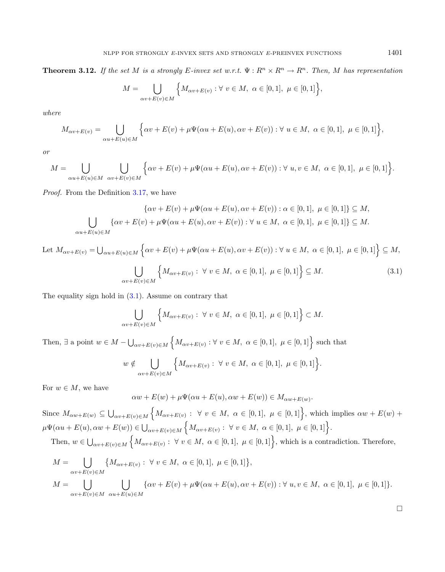**Theorem 3.12.** If the set M is a strongly E-invex set w.r.t.  $\Psi : R^n \times R^n \to R^n$ . Then, M has representation

$$
M = \bigcup_{\alpha v + E(v) \in M} \left\{ M_{\alpha v + E(v)} : \forall v \in M, \ \alpha \in [0, 1], \ \mu \in [0, 1] \right\},\
$$

where

$$
M_{\alpha v + E(v)} = \bigcup_{\alpha u + E(u) \in M} \left\{ \alpha v + E(v) + \mu \Psi(\alpha u + E(u), \alpha v + E(v)) : \forall u \in M, \ \alpha \in [0, 1], \ \mu \in [0, 1] \right\},\
$$

or

$$
M = \bigcup_{\alpha u + E(u) \in M} \bigcup_{\alpha v + E(v) \in M} \left\{ \alpha v + E(v) + \mu \Psi(\alpha u + E(u), \alpha v + E(v)) : \forall u, v \in M, \ \alpha \in [0, 1], \ \mu \in [0, 1] \right\}.
$$

Proof. From the Definition [3.17,](#page-5-0) we have

$$
\{\alpha v + E(v) + \mu \Psi(\alpha u + E(u), \alpha v + E(v)) : \alpha \in [0, 1], \ \mu \in [0, 1]\} \subseteq M,
$$
  

$$
\bigcup_{\alpha u + E(u) \in M} \{\alpha v + E(v) + \mu \Psi(\alpha u + E(u), \alpha v + E(v)) : \forall u \in M, \ \alpha \in [0, 1], \ \mu \in [0, 1]\} \subseteq M.
$$

Let 
$$
M_{\alpha v + E(v)} = \bigcup_{\alpha u + E(u) \in M} \left\{ \alpha v + E(v) + \mu \Psi(\alpha u + E(u), \alpha v + E(v)) : \forall u \in M, \alpha \in [0, 1], \mu \in [0, 1] \right\} \subseteq M,
$$
  

$$
\bigcup_{\alpha v + E(v) \in M} \left\{ M_{\alpha v + E(v)} : \forall v \in M, \alpha \in [0, 1], \mu \in [0, 1] \right\} \subseteq M.
$$
 (3.1)

The equality sign hold in [\(3.1\)](#page-4-0). Assume on contrary that

$$
\bigcup_{\alpha v+E(v)\in M} \left\{ M_{\alpha v+E(v)} : \ \forall \ v\in M, \ \alpha\in[0,1], \ \mu\in[0,1] \right\} \subset M.
$$

Then,  $\exists$  a point  $w \in M - \bigcup_{\alpha v + E(v) \in M} \left\{ M_{\alpha v + E(v)} : \forall v \in M, \alpha \in [0,1], \mu \in [0,1] \right\}$  such that

$$
w \notin \bigcup_{\alpha v + E(v) \in M} \left\{ M_{\alpha v + E(v)} : \ \forall \ v \in M, \ \alpha \in [0,1], \ \mu \in [0,1] \right\}.
$$

For  $w \in M$ , we have

$$
\alpha w + E(w) + \mu \Psi(\alpha u + E(u), \alpha w + E(w)) \in M_{\alpha w + E(w)}.
$$

Since  $M_{\alpha w+E(w)} \subseteq \bigcup_{\alpha v+E(v)\in M} \Big\{ M_{\alpha v+E(v)} : \ \forall \ v \in M, \ \alpha \in [0,1], \ \mu \in [0,1] \Big\}$ , which implies  $\alpha w+E(w)+$  $\mu\Psi(\alpha u + E(u), \alpha w + E(w)) \in \bigcup_{\alpha v + E(v) \in M} \Big\{ M_{\alpha v + E(v)} : \ \forall \ v \in M, \ \alpha \in [0, 1], \ \mu \in [0, 1] \Big\}.$ 

Then, 
$$
w \in \bigcup_{\alpha v + E(v) \in M} \left\{ M_{\alpha v + E(v)} : \forall v \in M, \alpha \in [0,1], \mu \in [0,1] \right\}
$$
, which is a contradiction. Therefore,

$$
M = \bigcup_{\alpha v + E(v) \in M} \{ M_{\alpha v + E(v)} : \ \forall \ v \in M, \ \alpha \in [0, 1], \ \mu \in [0, 1] \},
$$
  

$$
M = \bigcup_{\alpha v + E(v) \in M} \bigcup_{\alpha u + E(u) \in M} \{ \alpha v + E(v) + \mu \Psi(\alpha u + E(u), \alpha v + E(v)) : \forall \ u, v \in M, \ \alpha \in [0, 1], \ \mu \in [0, 1] \}.
$$

<span id="page-4-0"></span>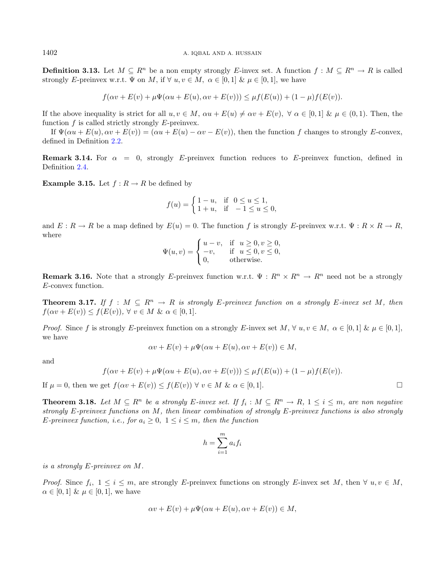**Definition 3.13.** Let  $M \subseteq R^n$  be a non empty strongly E-invex set. A function  $f : M \subseteq R^n \to R$  is called strongly E-preinvex w.r.t.  $\Psi$  on M, if  $\forall u, v \in M$ ,  $\alpha \in [0, 1]$  &  $\mu \in [0, 1]$ , we have

$$
f(\alpha v + E(v) + \mu \Psi(\alpha u + E(u), \alpha v + E(v))) \leq \mu f(E(u)) + (1 - \mu)f(E(v)).
$$

If the above inequality is strict for all  $u, v \in M$ ,  $\alpha u + E(u) \neq \alpha v + E(v)$ ,  $\forall \alpha \in [0, 1]$  &  $\mu \in (0, 1)$ . Then, the function  $f$  is called strictly strongly  $E$ -preinvex.

If  $\Psi(\alpha u + E(u), \alpha v + E(v)) = (\alpha u + E(u) - \alpha v - E(v))$ , then the function f changes to strongly E-convex, defined in Definition [2.2.](#page-1-4)

**Remark 3.14.** For  $\alpha = 0$ , strongly E-preinvex function reduces to E-preinvex function, defined in Definition [2.4.](#page-1-5)

**Example 3.15.** Let  $f : R \to R$  be defined by

$$
f(u) = \begin{cases} 1 - u, & \text{if } 0 \le u \le 1, \\ 1 + u, & \text{if } -1 \le u \le 0, \end{cases}
$$

and  $E: R \to R$  be a map defined by  $E(u) = 0$ . The function f is strongly E-preinvex w.r.t.  $\Psi: R \times R \to R$ , where

$$
\Psi(u,v) = \begin{cases} u-v, & \text{if } u \ge 0, v \ge 0, \\ -v, & \text{if } u \le 0, v \le 0, \\ 0, & \text{otherwise.} \end{cases}
$$

**Remark 3.16.** Note that a strongly E-preinvex function w.r.t.  $\Psi: R^n \times R^n \to R^n$  need not be a strongly E-convex function.

<span id="page-5-0"></span>**Theorem 3.17.** If  $f : M \subseteq R^n \to R$  is strongly E-preinvex function on a strongly E-invex set M, then  $f(\alpha v + E(v)) \leq f(E(v)), \forall v \in M \& \alpha \in [0,1].$ 

*Proof.* Since f is strongly E-preinvex function on a strongly E-invex set  $M, \forall u, v \in M, \alpha \in [0, 1]$  &  $\mu \in [0, 1]$ , we have

$$
\alpha v + E(v) + \mu \Psi(\alpha u + E(u), \alpha v + E(v)) \in M,
$$

and

$$
f(\alpha v + E(v) + \mu \Psi(\alpha u + E(u), \alpha v + E(v))) \leq \mu f(E(u)) + (1 - \mu)f(E(v)).
$$

If  $\mu = 0$ , then we get  $f(\alpha v + E(v)) \le f(E(v)) \ \forall \ v \in M \ \& \ \alpha \in [0,1].$ 

**Theorem 3.18.** Let  $M \subseteq R^n$  be a strongly E-invex set. If  $f_i : M \subseteq R^n \to R$ ,  $1 \le i \le m$ , are non negative strongly  $E$ -preinvex functions on  $M$ , then linear combination of strongly  $E$ -preinvex functions is also strongly E-preinvex function, i.e., for  $a_i \geq 0$ ,  $1 \leq i \leq m$ , then the function

$$
h = \sum_{i=1}^{m} a_i f_i
$$

is a strongly  $E$ -preinvex on  $M$ .

*Proof.* Since  $f_i$ ,  $1 \leq i \leq m$ , are strongly E-preinvex functions on strongly E-invex set M, then  $\forall u, v \in M$ ,  $\alpha \in [0, 1]$  &  $\mu \in [0, 1]$ , we have

$$
\alpha v + E(v) + \mu \Psi(\alpha u + E(u), \alpha v + E(v)) \in M,
$$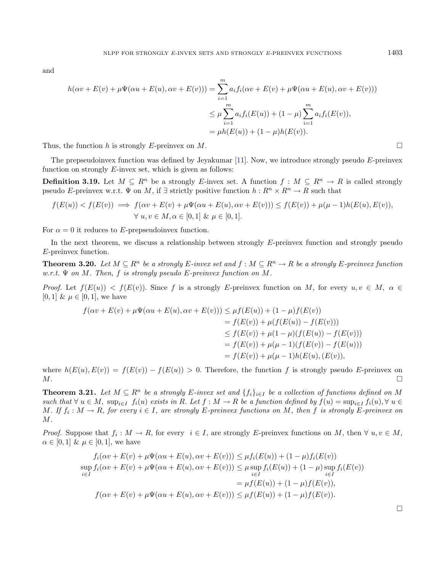and

$$
h(\alpha v + E(v) + \mu \Psi(\alpha u + E(u), \alpha v + E(v))) = \sum_{i=1}^{m} a_i f_i(\alpha v + E(v) + \mu \Psi(\alpha u + E(u), \alpha v + E(v)))
$$
  

$$
\leq \mu \sum_{i=1}^{m} a_i f_i(E(u)) + (1 - \mu) \sum_{i=1}^{m} a_i f_i(E(v)),
$$
  

$$
= \mu h(E(u)) + (1 - \mu) h(E(v)).
$$

Thus, the function h is strongly E-preinvex on M.

The prepseudoinvex function was defined by Jeyakumar  $[11]$ . Now, we introduce strongly pseudo  $E$ -preinvex function on strongly  $E$ -invex set, which is given as follows:

**Definition 3.19.** Let  $M \subseteq R^n$  be a strongly E-invex set. A function  $f : M \subseteq R^n \to R$  is called strongly pseudo E-preinvex w.r.t.  $\Psi$  on M, if  $\exists$  strictly positive function  $h: R^n \times R^n \to R$  such that

$$
f(E(u)) < f(E(v)) \implies f(\alpha v + E(v) + \mu \Psi(\alpha u + E(u), \alpha v + E(v))) \le f(E(v)) + \mu(\mu - 1)h(E(u), E(v)),
$$
\n
$$
\forall u, v \in M, \alpha \in [0, 1] \& \mu \in [0, 1].
$$

For  $\alpha = 0$  it reduces to E-prepseudoinvex function.

In the next theorem, we discuss a relationship between strongly  $E$ -preinvex function and strongly pseudo E-preinvex function.

**Theorem 3.20.** Let  $M \subseteq R^n$  be a strongly E-invex set and  $f : M \subseteq R^n \to R$  be a strongly E-preinvex function w.r.t.  $\Psi$  on M. Then, f is strongly pseudo E-preinvex function on M.

*Proof.* Let  $f(E(u)) < f(E(v))$ . Since f is a strongly E-preinvex function on M, for every  $u, v \in M$ ,  $\alpha \in$ [0, 1] &  $\mu \in [0, 1]$ , we have

$$
f(\alpha v + E(v) + \mu \Psi(\alpha u + E(u), \alpha v + E(v))) \leq \mu f(E(u)) + (1 - \mu)f(E(v))
$$
  
=  $f(E(v)) + \mu(f(E(u)) - f(E(v)))$   
 $\leq f(E(v)) + \mu(1 - \mu)(f(E(u)) - f(E(v)))$   
=  $f(E(v)) + \mu(\mu - 1)(f(E(v)) - f(E(u)))$   
=  $f(E(v)) + \mu(\mu - 1)h(E(u), (E(v)),$ 

where  $h(E(u), E(v)) = f(E(v)) - f(E(u)) > 0$ . Therefore, the function f is strongly pseudo E-preinvex on  $M$ .

**Theorem 3.21.** Let  $M \subseteq R^n$  be a strongly E-invex set and  $\{f_i\}_{i \in I}$  be a collection of functions defined on M such that  $\forall u \in M$ ,  $\sup_{i \in I} f_i(u)$  exists in R. Let  $f : M \to R$  be a function defined by  $f(u) = \sup_{i \in I} f_i(u)$ ,  $\forall u \in R$ M. If  $f_i: M \to R$ , for every  $i \in I$ , are strongly E-preinvex functions on M, then f is strongly E-preinvex on  $M$ .

*Proof.* Suppose that  $f_i: M \to R$ , for every  $i \in I$ , are strongly E-preinvex functions on M, then  $\forall u, v \in M$ ,  $\alpha \in [0, 1]$  &  $\mu \in [0, 1]$ , we have

$$
f_i(\alpha v + E(v) + \mu \Psi(\alpha u + E(u), \alpha v + E(v))) \leq \mu f_i(E(u)) + (1 - \mu) f_i(E(v))
$$
  
\n
$$
\sup_{i \in I} f_i(\alpha v + E(v) + \mu \Psi(\alpha u + E(u), \alpha v + E(v))) \leq \mu \sup_{i \in I} f_i(E(u)) + (1 - \mu) \sup_{i \in I} f_i(E(v))
$$
  
\n
$$
= \mu f(E(u)) + (1 - \mu) f(E(v)),
$$
  
\n
$$
f(\alpha v + E(v) + \mu \Psi(\alpha u + E(u), \alpha v + E(v))) \leq \mu f(E(u)) + (1 - \mu) f(E(v)).
$$

 $\Box$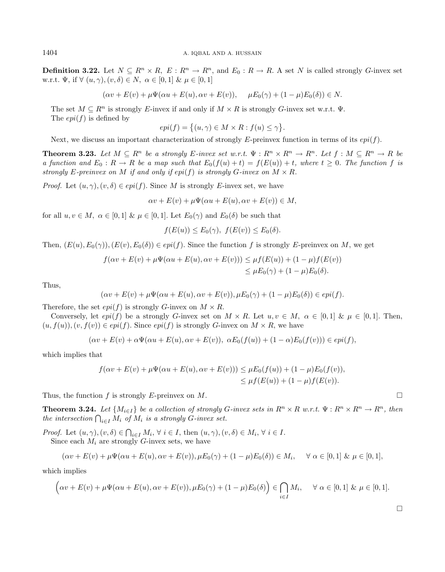**Definition 3.22.** Let  $N \subseteq R^n \times R$ ,  $E: R^n \to R^n$ , and  $E_0: R \to R$ . A set N is called strongly G-invex set w.r.t.  $\Psi$ , if  $\forall$   $(u, \gamma)$ ,  $(v, \delta) \in N$ ,  $\alpha \in [0, 1]$  &  $\mu \in [0, 1]$ 

$$
(\alpha v + E(v) + \mu \Psi(\alpha u + E(u), \alpha v + E(v)), \quad \mu E_0(\gamma) + (1 - \mu) E_0(\delta)) \in N.
$$

The set  $M \subseteq R^n$  is strongly E-invex if and only if  $M \times R$  is strongly G-invex set w.r.t.  $\Psi$ . The  $epi(f)$  is defined by

$$
epi(f) = \{(u, \gamma) \in M \times R : f(u) \le \gamma\}.
$$

Next, we discuss an important characterization of strongly E-preinvex function in terms of its  $epi(f)$ .

<span id="page-7-0"></span>**Theorem 3.23.** Let  $M \subseteq R^n$  be a strongly E-invex set w.r.t.  $\Psi : R^n \times R^n \to R^n$ . Let  $f : M \subseteq R^n \to R$  be a function and  $E_0 : R \to R$  be a map such that  $E_0(f(u) + t) = f(E(u)) + t$ , where  $t \ge 0$ . The function f is strongly E-preinvex on M if and only if  $epi(f)$  is strongly G-invex on  $M \times R$ .

*Proof.* Let  $(u, \gamma), (v, \delta) \in epi(f)$ . Since M is strongly E-invex set, we have

 $\alpha v + E(v) + \mu \Psi(\alpha u + E(u), \alpha v + E(v)) \in M,$ 

for all  $u, v \in M$ ,  $\alpha \in [0, 1]$  &  $\mu \in [0, 1]$ . Let  $E_0(\gamma)$  and  $E_0(\delta)$  be such that

 $f(E(u)) \leq E_0(\gamma)$ ,  $f(E(v)) \leq E_0(\delta)$ .

Then,  $(E(u), E_0(\gamma)), (E(v), E_0(\delta)) \in epi(f)$ . Since the function f is strongly E-preinvex on M, we get

$$
f(\alpha v + E(v) + \mu \Psi(\alpha u + E(u), \alpha v + E(v))) \leq \mu f(E(u)) + (1 - \mu) f(E(v))
$$
  

$$
\leq \mu E_0(\gamma) + (1 - \mu) E_0(\delta).
$$

Thus,

$$
(\alpha v + E(v) + \mu \Psi(\alpha u + E(u), \alpha v + E(v)), \mu E_0(\gamma) + (1 - \mu)E_0(\delta)) \in epi(f).
$$

Therefore, the set  $epi(f)$  is strongly G-invex on  $M \times R$ .

Conversely, let  $epi(f)$  be a strongly G-invex set on  $M \times R$ . Let  $u, v \in M$ ,  $\alpha \in [0, 1]$  &  $\mu \in [0, 1]$ . Then,  $(u, f(u)),(v, f(v)) \in epi(f)$ . Since  $epi(f)$  is strongly G-invex on  $M \times R$ , we have

 $(\alpha v + E(v) + \alpha \Psi(\alpha u + E(u), \alpha v + E(v)), \ \alpha E_0(f(u)) + (1 - \alpha)E_0(f(v))) \in epi(f),$ 

which implies that

$$
f(\alpha v + E(v) + \mu \Psi(\alpha u + E(u), \alpha v + E(v))) \leq \mu E_0(f(u)) + (1 - \mu)E_0(f(v)),
$$
  

$$
\leq \mu f(E(u)) + (1 - \mu)f(E(v)).
$$

Thus, the function f is strongly E-preinvex on M.

**Theorem 3.24.** Let  $\{M_{i\in I}\}\$ be a collection of strongly G-invex sets in  $R^n \times R$  w.r.t.  $\Psi: R^n \times R^n \to R^n$ , then the intersection  $\bigcap_{i\in I} M_i$  of  $M_i$  is a strongly G-invex set.

*Proof.* Let  $(u, \gamma), (v, \delta) \in \bigcap_{i \in I} M_i, \forall i \in I$ , then  $(u, \gamma), (v, \delta) \in M_i, \forall i \in I$ . Since each  $M_i$  are strongly G-invex sets, we have

$$
(\alpha v + E(v) + \mu \Psi(\alpha u + E(u), \alpha v + E(v)), \mu E_0(\gamma) + (1 - \mu)E_0(\delta)) \in M_i, \quad \forall \alpha \in [0, 1] \& \mu \in [0, 1],
$$

which implies

$$
\left(\alpha v + E(v) + \mu \Psi(\alpha u + E(u), \alpha v + E(v)), \mu E_0(\gamma) + (1 - \mu) E_0(\delta)\right) \in \bigcap_{i \in I} M_i, \quad \forall \alpha \in [0, 1] \& \mu \in [0, 1].
$$

 $\Box$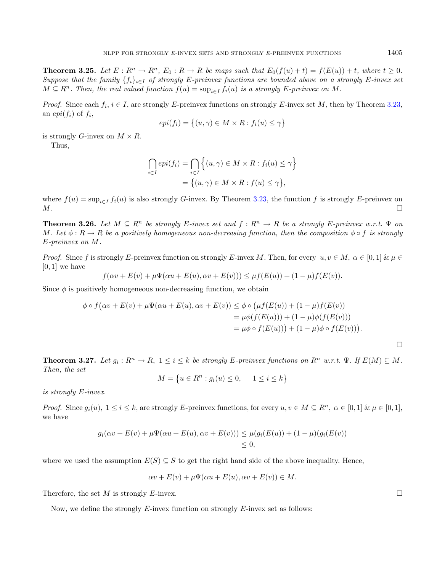**Theorem 3.25.** Let  $E: R^n \to R^n$ ,  $E_0: R \to R$  be maps such that  $E_0(f(u) + t) = f(E(u)) + t$ , where  $t \geq 0$ . Suppose that the family  $\{f_i\}_{i\in I}$  of strongly E-preinvex functions are bounded above on a strongly E-invex set  $M \subseteq R^n$ . Then, the real valued function  $f(u) = \sup_{i \in I} f_i(u)$  is a strongly E-preinvex on M.

*Proof.* Since each  $f_i$ ,  $i \in I$ , are strongly E-preinvex functions on strongly E-invex set M, then by Theorem [3.23,](#page-7-0) an  $epi(f_i)$  of  $f_i$ ,

$$
epi(f_i) = \{(u, \gamma) \in M \times R : f_i(u) \le \gamma\}
$$

is strongly G-invex on  $M \times R$ . Thus,

$$
\bigcap_{i \in I} epi(f_i) = \bigcap_{i \in I} \left\{ (u, \gamma) \in M \times R : f_i(u) \le \gamma \right\}
$$

$$
= \left\{ (u, \gamma) \in M \times R : f(u) \le \gamma \right\},\
$$

where  $f(u) = \sup_{i \in I} f_i(u)$  is also strongly G-invex. By Theorem [3.23,](#page-7-0) the function f is strongly E-preinvex on  $M$ .

**Theorem 3.26.** Let  $M \subseteq R^n$  be strongly E-invex set and  $f: R^n \to R$  be a strongly E-preinvex w.r.t.  $\Psi$  on M. Let  $\phi: R \to R$  be a positively homogeneous non-decreasing function, then the composition  $\phi \circ f$  is strongly  $E$ -preinvex on  $M$ .

*Proof.* Since f is strongly E-preinvex function on strongly E-invex M. Then, for every  $u, v \in M$ ,  $\alpha \in [0, 1]$  &  $\mu \in$  $[0, 1]$  we have

$$
f(\alpha v + E(v) + \mu \Psi(\alpha u + E(u), \alpha v + E(v))) \leq \mu f(E(u)) + (1 - \mu)f(E(v)).
$$

Since  $\phi$  is positively homogeneous non-decreasing function, we obtain

$$
\phi \circ f(\alpha v + E(v) + \mu \Psi(\alpha u + E(u), \alpha v + E(v)) \leq \phi \circ (\mu f(E(u)) + (1 - \mu)f(E(v))
$$
  
= 
$$
\mu \phi(f(E(u))) + (1 - \mu)\phi(f(E(v)))
$$
  
= 
$$
\mu \phi \circ f(E(u)) + (1 - \mu)\phi \circ f(E(v))).
$$

 $\Box$ 

**Theorem 3.27.** Let  $g_i: R^n \to R$ ,  $1 \leq i \leq k$  be strongly E-preinvex functions on  $R^n$  w.r.t.  $\Psi$ . If  $E(M) \subseteq M$ . Then, the set

$$
M = \{ u \in R^n : g_i(u) \le 0, \quad 1 \le i \le k \}
$$

is strongly  $E$ -invex.

*Proof.* Since  $g_i(u)$ ,  $1 \le i \le k$ , are strongly E-preinvex functions, for every  $u, v \in M \subseteq R^n$ ,  $\alpha \in [0, 1]$   $\& \mu \in [0, 1]$ , we have

$$
g_i(\alpha v + E(v) + \mu \Psi(\alpha u + E(u), \alpha v + E(v))) \leq \mu(g_i(E(u)) + (1 - \mu)(g_i(E(v)))
$$
  
\$\leq 0\$,

where we used the assumption  $E(S) \subseteq S$  to get the right hand side of the above inequality. Hence,

$$
\alpha v + E(v) + \mu \Psi(\alpha u + E(u), \alpha v + E(v)) \in M.
$$

Therefore, the set M is strongly E-invex.

Now, we define the strongly  $E$ -invex function on strongly  $E$ -invex set as follows: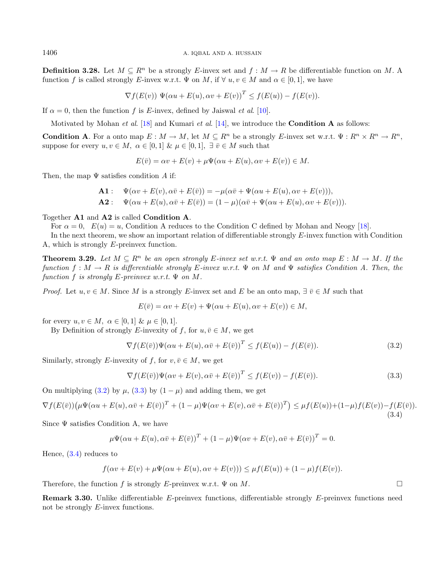**Definition 3.28.** Let  $M \subseteq R^n$  be a strongly E-invex set and  $f : M \to R$  be differentiable function on M. A function f is called strongly E-invex w.r.t.  $\Psi$  on M, if  $\forall u, v \in M$  and  $\alpha \in [0, 1]$ , we have

$$
\nabla f(E(v)) \Psi(\alpha u + E(u), \alpha v + E(v))^T \le f(E(u)) - f(E(v)).
$$

If  $\alpha = 0$ , then the function f is E-invex, defined by Jaiswal *et al.* [\[10\]](#page-12-13).

Motivated by Mohan *et al.* [\[18\]](#page-13-0) and Kumari *et al.* [\[14\]](#page-12-14), we introduce the **Condition A** as follows:

**Condition A**. For a onto map  $E : M \to M$ , let  $M \subseteq R^n$  be a strongly E-invex set w.r.t.  $\Psi : R^n \times R^n \to R^n$ . suppose for every  $u, v \in M$ ,  $\alpha \in [0, 1]$  &  $\mu \in [0, 1]$ ,  $\exists \overline{v} \in M$  such that

<span id="page-9-0"></span>
$$
E(\bar{v}) = \alpha v + E(v) + \mu \Psi(\alpha u + E(u), \alpha v + E(v)) \in M.
$$

Then, the map  $\Psi$  satisfies condition A if:

**A1**: 
$$
\Psi(\alpha v + E(v), \alpha \overline{v} + E(\overline{v})) = -\mu(\alpha \overline{v} + \Psi(\alpha u + E(u), \alpha v + E(v))),
$$
  
**A2**: 
$$
\Psi(\alpha u + E(u), \alpha \overline{v} + E(\overline{v})) = (1 - \mu)(\alpha \overline{v} + \Psi(\alpha u + E(u), \alpha v + E(v))).
$$

Together A1 and A2 is called Condition A.

For  $\alpha = 0$ ,  $E(u) = u$ , Condition A reduces to the Condition C defined by Mohan and Neogy [\[18\]](#page-13-0).

In the next theorem, we show an important relation of differentiable strongly  $E$ -invex function with Condition A, which is strongly  $E$ -preinvex function.

**Theorem 3.29.** Let  $M \subseteq R^n$  be an open strongly E-invex set w.r.t.  $\Psi$  and an onto map  $E : M \to M$ . If the function  $f : M \to R$  is differentiable strongly E-invex w.r.t.  $\Psi$  on M and  $\Psi$  satisfies Condition A. Then, the function f is strongly  $E$ -preinvex w.r.t.  $\Psi$  on M.

*Proof.* Let  $u, v \in M$ . Since M is a strongly E-invex set and E be an onto map,  $\exists \bar{v} \in M$  such that

<span id="page-9-2"></span><span id="page-9-1"></span>
$$
E(\bar{v}) = \alpha v + E(v) + \Psi(\alpha u + E(u), \alpha v + E(v)) \in M,
$$

for every  $u, v \in M$ ,  $\alpha \in [0, 1]$  &  $\mu \in [0, 1]$ .

By Definition of strongly E-invexity of f, for  $u, \overline{v} \in M$ , we get

$$
\nabla f(E(\bar{v}))\Psi(\alpha u + E(u), \alpha \bar{v} + E(\bar{v}))^T \le f(E(u)) - f(E(\bar{v})).
$$
\n(3.2)

Similarly, strongly E-invexity of f, for  $v, \overline{v} \in M$ , we get

$$
\nabla f(E(\bar{v}))\Psi(\alpha v + E(v), \alpha \bar{v} + E(\bar{v}))^T \le f(E(v)) - f(E(\bar{v})).
$$
\n(3.3)

On multiplying [\(3.2\)](#page-9-0) by  $\mu$ , [\(3.3\)](#page-9-1) by  $(1 - \mu)$  and adding them, we get

$$
\nabla f(E(\bar{v}))\left(\mu\Psi(\alpha u + E(u), \alpha \bar{v} + E(\bar{v}))^T + (1 - \mu)\Psi(\alpha v + E(v), \alpha \bar{v} + E(\bar{v}))^T\right) \leq \mu f(E(u)) + (1 - \mu)f(E(v)) - f(E(\bar{v})).
$$
\n(3.4)

Since  $\Psi$  satisfies Condition A, we have

$$
\mu\Psi(\alpha u + E(u), \alpha \bar{v} + E(\bar{v}))^T + (1 - \mu)\Psi(\alpha v + E(v), \alpha \bar{v} + E(\bar{v}))^T = 0.
$$

Hence, [\(3.4\)](#page-9-2) reduces to

$$
f(\alpha v + E(v) + \mu \Psi(\alpha u + E(u), \alpha v + E(v))) \leq \mu f(E(u)) + (1 - \mu)f(E(v)).
$$

Therefore, the function f is strongly E-preinvex w.r.t.  $\Psi$  on M.

**Remark 3.30.** Unlike differentiable  $E$ -preinvex functions, differentiable strongly  $E$ -preinvex functions need not be strongly  $E$ -invex functions.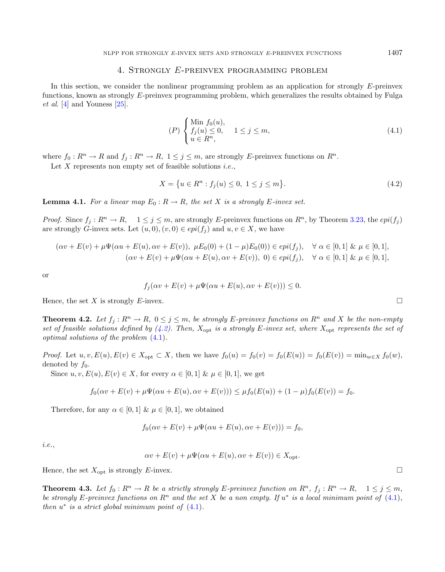## 4. STRONGLY E-PREINVEX PROGRAMMING PROBLEM

<span id="page-10-0"></span>In this section, we consider the nonlinear programming problem as an application for strongly  $E$ -preinvex functions, known as strongly E-preinvex programming problem, which generalizes the results obtained by Fulga et al. [\[4\]](#page-12-10) and Youness [\[25\]](#page-13-8).

<span id="page-10-2"></span><span id="page-10-1"></span>
$$
(P)\begin{cases}\n\text{Min } f_0(u),\\ \nf_j(u) \le 0, \quad 1 \le j \le m, \\ \nu \in R^n,\n\end{cases} \tag{4.1}
$$

where  $f_0 : R^n \to R$  and  $f_j : R^n \to R$ ,  $1 \le j \le m$ , are strongly E-preinvex functions on  $R^n$ .

Let  $X$  represents non empty set of feasible solutions *i.e.*,

$$
X = \{ u \in R^n : f_j(u) \le 0, \ 1 \le j \le m \}. \tag{4.2}
$$

<span id="page-10-3"></span>**Lemma 4.1.** For a linear map  $E_0: R \to R$ , the set X is a strongly E-invex set.

*Proof.* Since  $f_i : R^n \to R$ ,  $1 \leq j \leq m$ , are strongly E-preinvex functions on  $R^n$ , by Theorem [3.23,](#page-7-0) the  $epi(f_i)$ are strongly G-invex sets. Let  $(u, 0), (v, 0) \in epi(f_i)$  and  $u, v \in X$ , we have

$$
(\alpha v + E(v) + \mu \Psi(\alpha u + E(u), \alpha v + E(v)), \ \mu E_0(0) + (1 - \mu)E_0(0)) \in epi(f_j), \quad \forall \ \alpha \in [0, 1] \ \& \ \mu \in [0, 1],
$$
  

$$
(\alpha v + E(v) + \mu \Psi(\alpha u + E(u), \alpha v + E(v)), \ 0) \in epi(f_j), \quad \forall \ \alpha \in [0, 1] \ \& \ \mu \in [0, 1],
$$

or

$$
f_j(\alpha v + E(v) + \mu \Psi(\alpha u + E(u), \alpha v + E(v))) \le 0.
$$

Hence, the set X is strongly E-invex.

**Theorem 4.2.** Let  $f_i: R^n \to R$ ,  $0 \leq j \leq m$ , be strongly E-preinvex functions on  $R^n$  and X be the non-empty set of feasible solutions defined by  $(4.2)$ . Then,  $X_{\text{opt}}$  is a strongly E-invex set, where  $X_{\text{opt}}$  represents the set of optimal solutions of the problem [\(4.1\)](#page-10-2).

*Proof.* Let  $u, v, E(u), E(v) \in X_{\text{opt}} \subset X$ , then we have  $f_0(u) = f_0(v) = f_0(E(u)) = f_0(E(v)) = \min_{w \in X} f_0(w)$ , denoted by  $f_0$ .

Since  $u, v, E(u), E(v) \in X$ , for every  $\alpha \in [0, 1]$  &  $\mu \in [0, 1]$ , we get

$$
f_0(\alpha v + E(v) + \mu \Psi(\alpha u + E(u), \alpha v + E(v))) \leq \mu f_0(E(u)) + (1 - \mu)f_0(E(v)) = f_0.
$$

Therefore, for any  $\alpha \in [0, 1]$  &  $\mu \in [0, 1]$ , we obtained

$$
f_0(\alpha v + E(v) + \mu \Psi(\alpha u + E(u), \alpha v + E(v))) = f_0,
$$

*i.e.*,

$$
\alpha v + E(v) + \mu \Psi(\alpha u + E(u), \alpha v + E(v)) \in X_{\text{opt}}.
$$

Hence, the set  $X_{\text{opt}}$  is strongly E-invex.

**Theorem 4.3.** Let  $f_0 : R^n \to R$  be a strictly strongly E-preinvex function on  $R^n$ ,  $f_i : R^n \to R$ ,  $1 \leq j \leq m$ , be strongly E-preinvex functions on  $R^n$  and the set X be a non empty. If  $u^*$  is a local minimum point of [\(4.1\)](#page-10-2), then  $u^*$  is a strict global minimum point of  $(4.1)$ .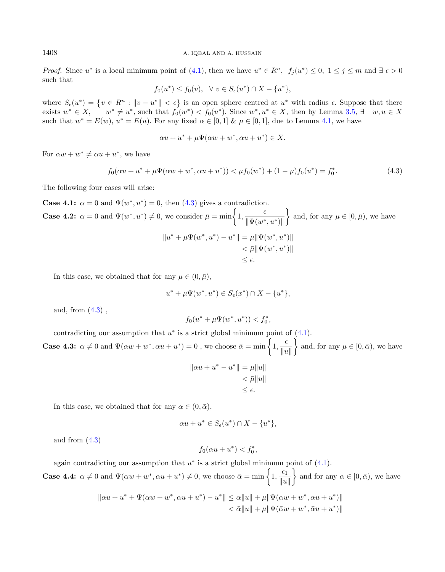*Proof.* Since  $u^*$  is a local minimum point of [\(4.1\)](#page-10-2), then we have  $u^* \in R^n$ ,  $f_j(u^*) \leq 0$ ,  $1 \leq j \leq m$  and  $\exists \epsilon > 0$ such that

<span id="page-11-0"></span>
$$
f_0(u^*) \le f_0(v), \ \ \forall \ v \in S_{\epsilon}(u^*) \cap X - \{u^*\},
$$

where  $S_{\epsilon}(u^*) = \{v \in \mathbb{R}^n : ||v - u^*|| < \epsilon\}$  is an open sphere centred at  $u^*$  with radius  $\epsilon$ . Suppose that there exists  $w^* \in X$ ,  $w^* \neq u^*$ , such that  $f_0(w^*) < f_0(u^*)$ . Since  $w^*, u^* \in X$ , then by Lemma [3.5,](#page-2-1)  $\exists w, u \in X$ such that  $w^* = E(w)$ ,  $u^* = E(u)$ . For any fixed  $\alpha \in [0,1]$   $\& \mu \in [0,1]$ , due to Lemma [4.1,](#page-10-3) we have

$$
\alpha u + u^* + \mu \Psi(\alpha w + w^*, \alpha u + u^*) \in X.
$$

For  $\alpha w + w^* \neq \alpha u + u^*$ , we have

$$
f_0(\alpha u + u^* + \mu \Psi(\alpha w + w^*, \alpha u + u^*)) < \mu f_0(w^*) + (1 - \mu)f_0(u^*) = f_0^*.
$$
\n(4.3)

The following four cases will arise:

**Case 4.1:**  $\alpha = 0$  and  $\Psi(w^*, u^*) = 0$ , then [\(4.3\)](#page-11-0) gives a contradiction. **Case 4.2:**  $\alpha = 0$  and  $\Psi(w^*, u^*) \neq 0$ , we consider  $\bar{\mu} = \min\left\{1, \frac{\epsilon}{\|\mathbf{w} - \mathbf{w}\|_F^2} \right\}$  $\|\Psi(w^*,u^*)\|$ } and, for any  $\mu \in [0, \bar{\mu})$ , we have  $||u^* + \mu \Psi(w^*, u^*) - u^*|| = \mu ||\Psi(w^*, u^*)||$  $< \bar{\mu} \|\Psi(w^*, u^*)\|$  $< \epsilon$ .

In this case, we obtained that for any  $\mu \in (0, \bar{\mu})$ ,

$$
u^* + \mu \Psi(w^*, u^*) \in S_{\epsilon}(x^*) \cap X - \{u^*\},
$$

and, from  $(4.3)$ .

$$
f_0(u^* + \mu \Psi(w^*, u^*)) < f_0^*,
$$

contradicting our assumption that  $u^*$  is a strict global minimum point of  $(4.1)$ .

**Case 4.3:**  $\alpha \neq 0$  and  $\Psi(\alpha w + w^*, \alpha u + u^*) = 0$ , we choose  $\bar{\alpha} = \min\left\{1, \frac{\epsilon}{\mu}\right\}$  $\|u\|$ } and, for any  $\mu \in [0, \bar{\alpha})$ , we have

$$
||\alpha u + u^* - u^*|| = \mu ||u||
$$
  

$$
< \bar{\mu} ||u||
$$
  

$$
\leq \epsilon.
$$

In this case, we obtained that for any  $\alpha \in (0, \bar{\alpha}),$ 

$$
\alpha u + u^* \in S_{\epsilon}(u^*) \cap X - \{u^*\},
$$

and from [\(4.3\)](#page-11-0)

$$
f_0(\alpha u + u^*) < f_0^*
$$

,

again contradicting our assumption that  $u^*$  is a strict global minimum point of  $(4.1)$ .

**Case 4.4:**  $\alpha \neq 0$  and  $\Psi(\alpha w + w^*, \alpha u + u^*) \neq 0$ , we choose  $\bar{\alpha} = \min\left\{1, \frac{\epsilon_1}{\mu}\right\}$  $\|u\|$ } and for any  $\alpha \in [0, \bar{\alpha}),$  we have

$$
\| \alpha u + u^* + \Psi(\alpha w + w^*, \alpha u + u^*) - u^* \| \leq \alpha \| u \| + \mu \| \Psi(\alpha w + w^*, \alpha u + u^*) \| < \bar{\alpha} \| u \| + \mu \| \Psi(\bar{\alpha} w + w^*, \bar{\alpha} u + u^*) \|
$$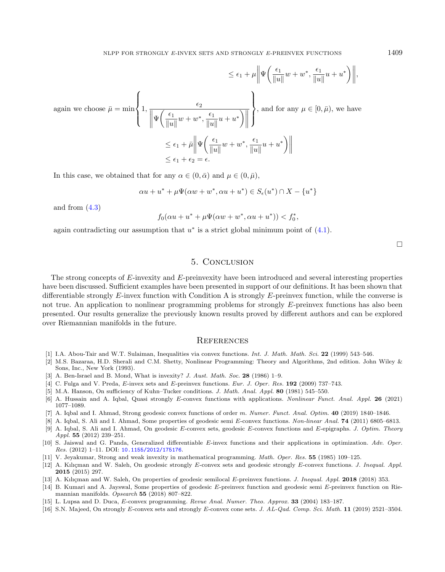$$
\leq \epsilon_1 + \mu \left\| \Psi\left(\frac{\epsilon_1}{\|u\|} w + w^*, \frac{\epsilon_1}{\|u\|} u + u^* \right) \right\|,
$$
  
again we choose  $\bar{\mu} = \min \left\{ 1, \frac{\epsilon_2}{\|u\|} w + w^*, \frac{\epsilon_1}{\|u\|} u + u^* \right) \right\}$ , and for any  $\mu \in [0, \bar{\mu})$ , we have  

$$
\leq \epsilon_1 + \bar{\mu} \left\| \Psi\left(\frac{\epsilon_1}{\|u\|} w + w^*, \frac{\epsilon_1}{\|u\|} u + u^* \right) \right\|
$$

$$
\leq \epsilon_1 + \epsilon_2 = \epsilon.
$$

In this case, we obtained that for any  $\alpha \in (0, \bar{\alpha})$  and  $\mu \in (0, \bar{\mu})$ ,

$$
\alpha u + u^* + \mu \Psi(\alpha w + w^*, \alpha u + u^*) \in S_{\epsilon}(u^*) \cap X - \{u^*\}
$$

and from  $(4.3)$ 

$$
f_0(\alpha u + u^* + \mu \Psi(\alpha w + w^*, \alpha u + u^*)) < f_0^*,
$$

<span id="page-12-3"></span>again contradicting our assumption that  $u^*$  is a strict global minimum point of  $(4.1)$ .

 $\Box$ 

## 5. Conclusion

<span id="page-12-11"></span><span id="page-12-10"></span><span id="page-12-8"></span><span id="page-12-5"></span><span id="page-12-1"></span><span id="page-12-0"></span>The strong concepts of  $E$ -invexity and  $E$ -preinvexity have been introduced and several interesting properties have been discussed. Sufficient examples have been presented in support of our definitions. It has been shown that differentiable strongly  $E$ -invex function with Condition A is strongly  $E$ -preinvex function, while the converse is not true. An application to nonlinear programming problems for strongly  $E$ -preinvex functions has also been presented. Our results generalize the previously known results proved by different authors and can be explored over Riemannian manifolds in the future.

#### **REFERENCES**

- <span id="page-12-13"></span><span id="page-12-9"></span><span id="page-12-2"></span>[1] I.A. Abou-Tair and W.T. Sulaiman, Inequalities via convex functions. Int. J. Math. Math. Sci. 22 (1999) 543–546.
- <span id="page-12-6"></span>[2] M.S. Bazaraa, H.D. Sherali and C.M. Shetty, Nonlinear Programming: Theory and Algorithms, 2nd edition. John Wiley & Sons, Inc., New York (1993).
- <span id="page-12-7"></span>[3] A. Ben-Israel and B. Mond, What is invexity? J. Aust. Math. Soc. 28 (1986) 1–9.
- <span id="page-12-14"></span>[4] C. Fulga and V. Preda,  $E$ -invex sets and  $E$ -preinvex functions. Eur. J. Oper. Res. 192 (2009) 737–743.
- <span id="page-12-12"></span>[5] M.A. Hanson, On sufficiency of Kuhn–Tucker conditions. J. Math. Anal. Appl. 80 (1981) 545–550.
- <span id="page-12-4"></span>[6] A. Hussain and A. Iqbal, Quasi strongly E-convex functions with applications. Nonlinear Funct. Anal. Appl. 26 (2021) 1077–1089.
- [7] A. Iqbal and I. Ahmad, Strong geodesic convex functions of order m. Numer. Funct. Anal. Optim. 40 (2019) 1840–1846.
- [8] A. Iqbal, S. Ali and I. Ahmad, Some properties of geodesic semi E-convex functions. Non-linear Anal. 74 (2011) 6805–6813.
- [9] A. Iqbal, S. Ali and I. Ahmad, On geodesic E-convex sets, geodesic E-convex functions and E-epigraphs. J. Optim. Theory Appl. 55 (2012) 239–251.
- [10] S. Jaiswal and G. Panda, Generalized differentiable  $E$ -invex functions and their applications in optimization. Adv. Oper. Res. (2012) 1–11. DOI: [10.1155/2012/175176](https://doi.org/10.1155/2012/175176).
- [11] V. Jeyakumar, Strong and weak invexity in mathematical programming. Math. Oper. Res. 55 (1985) 109–125.
- [12] A. Kılıçman and W. Saleh, On geodesic strongly E-convex sets and geodesic strongly E-convex functions. J. Inequal. Appl. 2015 (2015) 297.
- [13] A. Kılıçman and W. Saleh, On properties of geodesic semilocal E-preinvex functions. J. Inequal. Appl. 2018 (2018) 353.
- [14] B. Kumari and A. Jayswal, Some properties of geodesic E-preinvex function and geodesic semi E-preinvex function on Riemannian manifolds. Opsearch 55 (2018) 807–822.
- [15] L. Lupsa and D. Duca, E-convex programming. Revue Anal. Numer. Theo. Approx. 33 (2004) 183-187.
- [16] S.N. Majeed, On strongly E-convex sets and strongly E-convex cone sets. J. AL-Qad. Comp. Sci. Math. 11 (2019) 2521–3504.